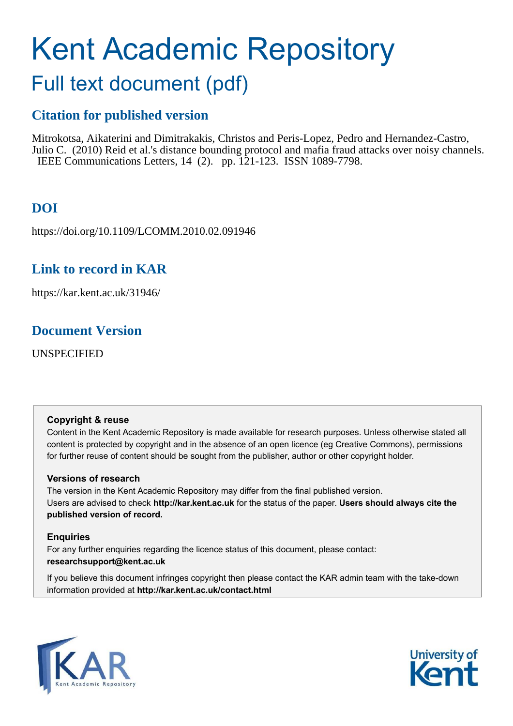# Kent Academic Repository

# Full text document (pdf)

# **Citation for published version**

Mitrokotsa, Aikaterini and Dimitrakakis, Christos and Peris-Lopez, Pedro and Hernandez-Castro, Julio C. (2010) Reid et al.'s distance bounding protocol and mafia fraud attacks over noisy channels. IEEE Communications Letters, 14 (2). pp. 121-123. ISSN 1089-7798.

# **DOI**

https://doi.org/10.1109/LCOMM.2010.02.091946

# **Link to record in KAR**

https://kar.kent.ac.uk/31946/

# **Document Version**

UNSPECIFIED

## **Copyright & reuse**

Content in the Kent Academic Repository is made available for research purposes. Unless otherwise stated all content is protected by copyright and in the absence of an open licence (eg Creative Commons), permissions for further reuse of content should be sought from the publisher, author or other copyright holder.

## **Versions of research**

The version in the Kent Academic Repository may differ from the final published version. Users are advised to check **http://kar.kent.ac.uk** for the status of the paper. **Users should always cite the published version of record.**

## **Enquiries**

For any further enquiries regarding the licence status of this document, please contact: **researchsupport@kent.ac.uk**

If you believe this document infringes copyright then please contact the KAR admin team with the take-down information provided at **http://kar.kent.ac.uk/contact.html**



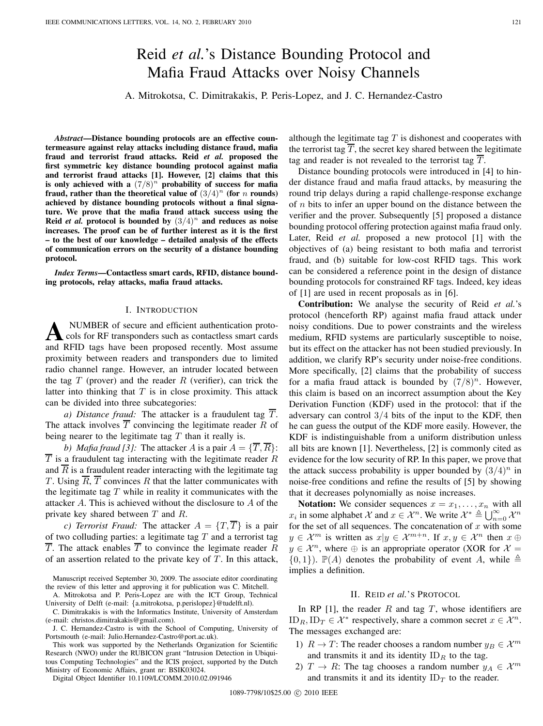# Reid et al.'s Distance Bounding Protocol and Mafia Fraud Attacks over Noisy Channels

A. Mitrokotsa, C. Dimitrakakis, P. Peris-Lopez, and J. C. Hernandez-Castro

Abstract—Distance bounding protocols are an effective coun**termeasure against relay attacks including distance fraud, mafia fraud and terrorist fraud attacks. Reid** *et al.* **proposed the first symmetric key distance bounding protocol against mafia and terrorist fraud attacks [1]. However, [2] claims that this** is only achieved with a  $(7/8)^n$  probability of success for mafia fraud, rather than the theoretical value of  $(3/4)^n$  (for *n* rounds) **achieved by distance bounding protocols without a final signature. We prove that the mafia fraud attack success using the Reid** *et al.* **protocol is bounded by**  $(3/4)^n$  **and reduces as noise increases. The proof can be of further interest as it is the first**  $-$  to the best of our knowledge – detailed analysis of the effects **of communication errors on the security of a distance bounding protocol.**

*Index Terms*—Contactless smart cards, RFID, distance bound**ing protocols, relay attacks, mafia fraud attacks.**

#### I. INTRODUCTION

A NUMBER of secure and efficient authentication protocols for RF transponders such as contactless smart cards and RFID tags have been proposed recently. Most assume NUMBER of secure and efficient authentication protocols for RF transponders such as contactless smart cards proximity between readers and transponders due to limited radio channel range. However, an intruder located between the tag  $T$  (prover) and the reader  $R$  (verifier), can trick the latter into thinking that  $T$  is in close proximity. This attack can be divided into three subcategories:

*a) Distance fraud:* The attacker is a fraudulent tag  $\overline{T}$ . The attack involves  $\overline{T}$  convincing the legitimate reader R of being nearer to the legitimate tag  $T$  than it really is.

*b) Mafia fraud [3]:* The attacker *A* is a pair  $A = \{ \overline{T}, \overline{R} \}$ :  $\overline{T}$  is a fraudulent tag interacting with the legitimate reader R and  $\overline{R}$  is a fraudulent reader interacting with the legitimate tag T. Using  $\overline{R}$ ,  $\overline{T}$  convinces R that the latter communicates with the legitimate tag  $T$  while in reality it communicates with the attacker  $A$ . This is achieved without the disclosure to  $A$  of the private key shared between  $T$  and  $R$ .

*c) Terrorist Fraud:* The attacker  $A = \{T, \overline{T}\}\$ is a pair of two colluding parties: a legitimate tag  $T$  and a terrorist tag  $\overline{T}$ . The attack enables  $\overline{T}$  to convince the legimate reader R of an assertion related to the private key of  $T$ . In this attack,

Digital Object Identifier 10.1109/LCOMM.2010.02.091946

although the legitimate tag  $T$  is dishonest and cooperates with the terrorist tag  $\overline{T}$ , the secret key shared between the legitimate tag and reader is not revealed to the terrorist tag  $\overline{T}$ .

Distance bounding protocols were introduced in [4] to hinder distance fraud and mafia fraud attacks, by measuring the round trip delays during a rapid challenge-response exchange of  $n$  bits to infer an upper bound on the distance between the verifier and the prover. Subsequently [5] proposed a distance bounding protocol offering protection against mafia fraud only. Later, Reid *et al.* proposed a new protocol [1] with the objectives of (a) being resistant to both mafia and terrorist fraud, and (b) suitable for low-cost RFID tags. This work can be considered a reference point in the design of distance bounding protocols for constrained RF tags. Indeed, key ideas of [1] are used in recent proposals as in [6].

**Contribution:** We analyse the security of Reid *et al.*ís protocol (henceforth RP) against mafia fraud attack under noisy conditions. Due to power constraints and the wireless medium, RFID systems are particularly susceptible to noise, but its effect on the attacker has not been studied previously. In addition, we clarify RP's security under noise-free conditions. More specifically, [2] claims that the probability of success for a mafia fraud attack is bounded by  $(7/8)^n$ . However, this claim is based on an incorrect assumption about the Key Derivation Function (KDF) used in the protocol: that if the adversary can control  $3/4$  bits of the input to the KDF, then he can guess the output of the KDF more easily. However, the KDF is indistinguishable from a uniform distribution unless all bits are known [1]. Nevertheless, [2] is commonly cited as evidence for the low security of RP. In this paper, we prove that the attack success probability is upper bounded by  $(3/4)^n$  in noise-free conditions and refine the results of [5] by showing that it decreases polynomially as noise increases.

**Notation:** We consider sequences  $x = x_1, \ldots, x_n$  with all  $x_i$  in some alphabet  $\mathcal X$  and  $x \in \mathcal X^n$ . We write  $\mathcal X^* \triangleq \bigcup_{n=0}^{\infty} \mathcal X^n$ for the set of all sequences. The concatenation of  $x$  with some  $y \in \mathcal{X}^m$  is written as  $x | y \in \mathcal{X}^{m+n}$ . If  $x, y \in \mathcal{X}^n$  then  $x \oplus$  $y \in \mathcal{X}^n$ , where  $\oplus$  is an appropriate operator (XOR for  $\mathcal{X} =$  $\{0,1\}$ ).  $\mathbb{P}(A)$  denotes the probability of event A, while  $\triangleq$ implies a definition.

## II. REID et al.'S PROTOCOL

In RP  $[1]$ , the reader R and tag T, whose identifiers are ID<sub>R</sub>, ID<sub>T</sub>  $\in \mathcal{X}^*$  respectively, share a common secret  $x \in \mathcal{X}^n$ . The messages exchanged are:

- 1)  $R \to T$ : The reader chooses a random number  $y_B \in \mathcal{X}^m$ and transmits it and its identity  $ID_R$  to the tag.
- 2)  $T \to R$ : The tag chooses a random number  $y_A \in \mathcal{X}^m$ and transmits it and its identity  $ID_T$  to the reader.

Manuscript received September 30, 2009. The associate editor coordinating the review of this letter and approving it for publication was C. Mitchell.

A. Mitrokotsa and P. Peris-Lopez are with the ICT Group, Technical University of Delft (e-mail: {a.mitrokotsa, p.perislopez}@tudelft.nl).

C. Dimitrakakis is with the Informatics Institute, University of Amsterdam (e-mail: christos.dimitrakakis@gmail.com).

J. C. Hernandez-Castro is with the School of Computing, University of Portsmouth (e-mail: Julio.Hernandez-Castro@port.ac.uk).

This work was supported by the Netherlands Organization for Scientific Research (NWO) under the RUBICON grant "Intrusion Detection in Ubiquitous Computing Technologies" and the ICIS project, supported by the Dutch Ministry of Economic Affairs, grant nr: BSIK03024.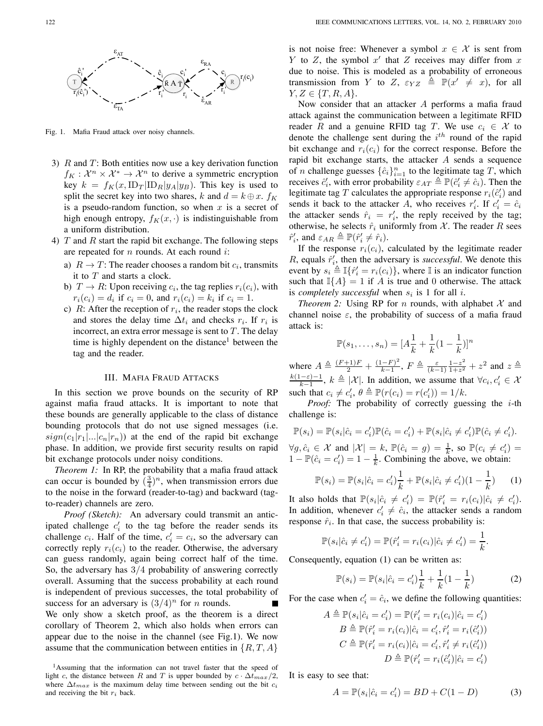

Fig. 1. Mafia Fraud attack over noisy channels.

- 3)  $R$  and  $T$ : Both entities now use a key derivation function  $f_K: \mathcal{X}^n \times \mathcal{X}^* \to \mathcal{X}^n$  to derive a symmetric encryption key  $k = f_K(x, \text{ID}_T | \text{ID}_R | y_A | y_B)$ . This key is used to split the secret key into two shares, k and  $d = k \oplus x$ .  $f_K$ is a pseudo-random function, so when  $x$  is a secret of high enough entropy,  $f_K(x, \cdot)$  is indistinguishable from a uniform distribution.
- 4)  $T$  and  $R$  start the rapid bit exchange. The following steps are repeated for  $n$  rounds. At each round  $i$ :
	- a)  $R \to T$ : The reader chooses a random bit  $c_i$ , transmits it to  $T$  and starts a clock.
	- b)  $T \to R$ : Upon receiving  $c_i$ , the tag replies  $r_i(c_i)$ , with  $r_i(c_i) = d_i$  if  $c_i = 0$ , and  $r_i(c_i) = k_i$  if  $c_i = 1$ .
	- c)  $R$ : After the reception of  $r_i$ , the reader stops the clock and stores the delay time  $\Delta t_i$  and checks  $r_i$ . If  $r_i$  is incorrect, an extra error message is sent to  $T$ . The delay time is highly dependent on the distance<sup>1</sup> between the tag and the reader.

## III. MAFIA FRAUD ATTACKS

In this section we prove bounds on the security of RP against mafia fraud attacks. It is important to note that these bounds are generally applicable to the class of distance bounding protocols that do not use signed messages (i.e.  $sign(c_1|r_1|...|c_n|r_n)$  at the end of the rapid bit exchange phase. In addition, we provide first security results on rapid bit exchange protocols under noisy conditions.

*Theorem 1:* In RP, the probability that a mafia fraud attack can occur is bounded by  $(\frac{3}{4})^n$ , when transmission errors due to the noise in the forward (reader-to-tag) and backward (tagto-reader) channels are zero.

*Proof (Sketch):* An adversary could transmit an anticipated challenge  $c_i'$  to the tag before the reader sends its challenge  $c_i$ . Half of the time,  $c'_i = c_i$ , so the adversary can correctly reply  $r_i(c_i)$  to the reader. Otherwise, the adversary can guess randomly, again being correct half of the time. So, the adversary has  $3/4$  probability of answering correctly overall. Assuming that the success probability at each round is independent of previous successes, the total probability of success for an adversary is  $(3/4)^n$  for *n* rounds. We only show a sketch proof, as the theorem is a direct corollary of Theorem 2, which also holds when errors can appear due to the noise in the channel (see Fig.1). We now assume that the communication between entities in  $\{R, T, A\}$  is not noise free: Whenever a symbol  $x \in \mathcal{X}$  is sent from Y to Z, the symbol  $x'$  that Z receives may differ from x due to noise. This is modeled as a probability of erroneous transmission from Y to Z,  $\varepsilon_{YZ} \triangleq \mathbb{P}(x' \neq x)$ , for all  $Y, Z \in \{T, R, A\}.$ 

Now consider that an attacker  $A$  performs a mafia fraud attack against the communication between a legitimate RFID reader R and a genuine RFID tag T. We use  $c_i \in \mathcal{X}$  to denote the challenge sent during the  $i<sup>th</sup>$  round of the rapid bit exchange and  $r_i(c_i)$  for the correct response. Before the rapid bit exchange starts, the attacker  $A$  sends a sequence of *n* challenge guesses  $\{\hat{c}_i\}_{i=1}^n$  to the legitimate tag *T*, which receives  $\hat{c}'_i$ , with error probability  $\varepsilon_{AT} \triangleq \mathbb{P}(\hat{c}'_i \neq \hat{c}_i)$ . Then the legitimate tag T calculates the appropriate response  $r_i(\hat{c}_i)$  and sends it back to the attacker A, who receives  $r'_i$ . If  $c'_i = \hat{c}_i$ the attacker sends  $\hat{r}_i = r'_i$ , the reply received by the tag; otherwise, he selects  $\hat{r}_i$  uniformly from  $\mathcal{X}$ . The reader  $R$  sees  $\hat{r}'_i$ , and  $\varepsilon_{AR} \triangleq \mathbb{P}(\hat{r}'_i \neq \hat{r}_i)$ .

If the response  $r_i(c_i)$ , calculated by the legitimate reader  $R$ , equals  $\hat{r}'_i$ , then the adversary is *successful*. We denote this event by  $s_i \stackrel{\triangle}{=} \mathbb{I}\{\hat{r}'_i = r_i(c_i)\}\,$ , where  $\mathbb{I}$  is an indicator function such that  $\mathbb{I}{A} = 1$  if A is true and 0 otherwise. The attack is *completely successful* when  $s_i$  is 1 for all *i*.

*Theorem 2:* Using RP for  $n$  rounds, with alphabet  $X$  and channel noise  $\varepsilon$ , the probability of success of a mafia fraud attack is:

$$
\mathbb{P}(s_1, \dots, s_n) = [A\frac{1}{k} + \frac{1}{k}(1 - \frac{1}{k})]^n
$$

where  $A \triangleq \frac{(F+1)F}{2} + \frac{(1-F)^2}{k-1}$  $\frac{(-F)^2}{k-1}, F \triangleq \frac{\varepsilon}{(k-1)} \frac{1-z^2}{1+z^2}$  $\frac{1-z^2}{1+z^2}+z^2$  and  $z \triangleq$  $k(1-\varepsilon)-1$  $\frac{(-\varepsilon)-1}{k-1}$ ,  $k \triangleq |\mathcal{X}|$ . In addition, we assume that  $\forall c_i, c'_i \in \mathcal{X}$ such that  $c_i \neq c'_i$ ,  $\theta \triangleq \mathbb{P}(r(c_i) = r(c'_i)) = 1/k$ .

*Proof:* The probability of correctly guessing the  $i$ -th challenge is:

$$
\mathbb{P}(s_i) = \mathbb{P}(s_i | \hat{c}_i = c'_i) \mathbb{P}(\hat{c}_i = c'_i) + \mathbb{P}(s_i | \hat{c}_i \neq c'_i) \mathbb{P}(\hat{c}_i \neq c'_i).
$$
  
\n
$$
\forall g, \hat{c}_i \in \mathcal{X} \text{ and } |\mathcal{X}| = k, \mathbb{P}(\hat{c}_i = g) = \frac{1}{k}, \text{ so } \mathbb{P}(c_i \neq c'_i) = 1 - \mathbb{P}(\hat{c}_i = c'_i) = 1 - \frac{1}{k}. \text{ Combining the above, we obtain:}
$$

$$
\mathbb{P}(s_i) = \mathbb{P}(s_i|\hat{c}_i = c'_i)\frac{1}{k} + \mathbb{P}(s_i|\hat{c}_i \neq c'_i)(1 - \frac{1}{k}) \tag{1}
$$

It also holds that  $\mathbb{P}(s_i|\hat{c}_i \neq c'_i) = \mathbb{P}(\hat{r}'_i = r_i(c_i)|\hat{c}_i \neq c'_i)$ . In addition, whenever  $c_i' \neq \hat{c}_i$ , the attacker sends a random response  $\hat{r}_i$ . In that case, the success probability is:

$$
\mathbb{P}(s_i|\hat{c}_i \neq c'_i) = \mathbb{P}(\hat{r}'_i = r_i(c_i)|\hat{c}_i \neq c'_i) = \frac{1}{k}.
$$

Consequently, equation (1) can be written as:

$$
\mathbb{P}(s_i) = \mathbb{P}(s_i|\hat{c}_i = c'_i)\frac{1}{k} + \frac{1}{k}(1 - \frac{1}{k})
$$
 (2)

For the case when  $c_i' = \hat{c}_i$ , we define the following quantities:

$$
A \triangleq \mathbb{P}(s_i|\hat{c}_i = c'_i) = \mathbb{P}(\hat{r}'_i = r_i(c_i)|\hat{c}_i = c'_i)
$$
  
\n
$$
B \triangleq \mathbb{P}(\hat{r}'_i = r_i(c_i)|\hat{c}_i = c'_i, \hat{r}'_i = r_i(\hat{c}'_i))
$$
  
\n
$$
C \triangleq \mathbb{P}(\hat{r}'_i = r_i(c_i)|\hat{c}_i = c'_i, \hat{r}'_i \neq r_i(\hat{c}'_i))
$$
  
\n
$$
D \triangleq \mathbb{P}(\hat{r}'_i = r_i(\hat{c}'_i)|\hat{c}_i = c'_i)
$$

It is easy to see that:

$$
A = \mathbb{P}(s_i | \hat{c}_i = c'_i) = BD + C(1 - D)
$$
 (3)

<sup>&</sup>lt;sup>1</sup>Assuming that the information can not travel faster that the speed of light c, the distance between R and T is upper bounded by  $c \cdot \Delta t_{max}/2$ , where  $\Delta t_{max}$  is the maximum delay time between sending out the bit  $c_i$ and receiving the bit  $r_i$  back.